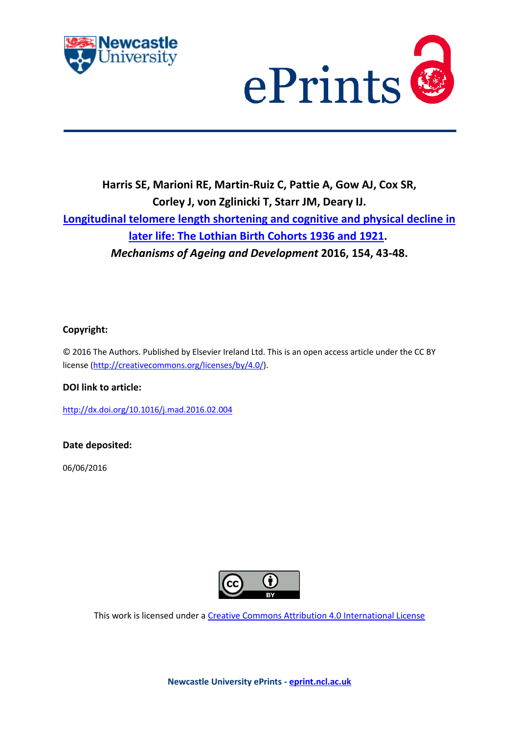



# **Harris SE, Marioni RE, Martin-Ruiz C, Pattie A, Gow AJ, Cox SR, Corley J, von Zglinicki T, Starr JM, Deary IJ. Longitudinal telomere length shortening and cognitive and physical decline in later life: The Lothian Birth Cohorts 1936 and 1921.** *Mechanisms of Ageing and Development* **2016, 154, 43-48.**

# **Copyright:**

© 2016 The Authors. Published by Elsevier Ireland Ltd. This is an open access article under the CC BY license (http://creativecommons.org/licenses/by/4.0/).

# **DOI link to article:**

http://dx.doi.org/10.1016/j.mad.2016.02.004

## **Date deposited:**

06/06/2016



This work is licensed under a Creative Commons Attribution 4.0 International License

**Newcastle University ePrints - eprint.ncl.ac.uk**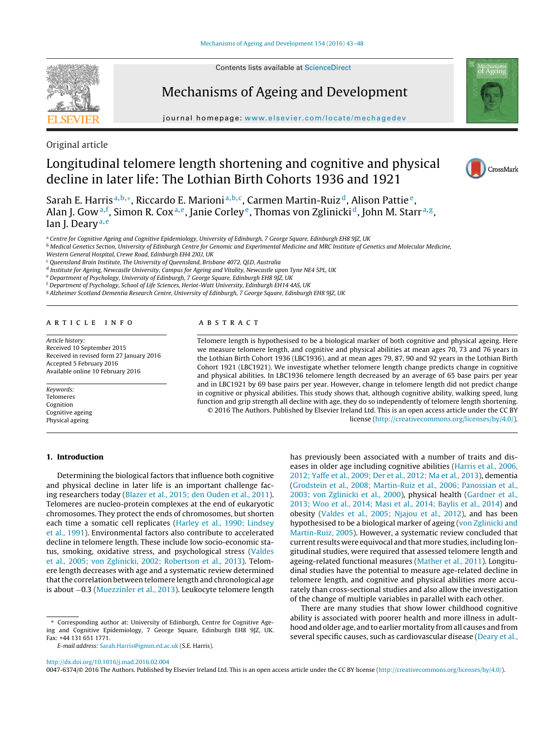Contents lists available at [ScienceDirect](http://www.sciencedirect.com/science/journal/00476374)

# **SEVIEI**

Mechanisms of Ageing and Development

jour nal home page: [www.elsevier.com/locate/mechagedev](http://www.elsevier.com/locate/mechagedev)



Original article

# Longitudinal telomere length shortening and cognitive and physical decline in later life: The Lothian Birth Cohorts 1936 and 1921



Sarah E. Harris<sup>a, b,∗</sup>, Riccardo E. Marioni<sup>a, b, c</sup>, Carmen Martin-Ruiz<sup>d</sup>, Alison Pattie<sup>e</sup>, Alan J. Gow<sup>a,f</sup>, Simon R. Cox<sup>a,e</sup>, Janie Corley<sup>e</sup>, Thomas von Zglinicki $^{\rm d}$ , John M. Starr<sup>a,g</sup>, Ian J. Deary<sup>a, e</sup>

a Centre for Cognitive Ageing and Cognitive Epidemiology, University of Edinburgh, 7 George Square, Edinburgh EH8 9JZ, UK

**b** Medical Genetics Section, University of Edinburgh Centre for Genomic and Experimental Medicine and MRC Institute of Genetics and Molecular Medicine, Western General Hospital, Crewe Road, Edinburgh EH4 2XU, UK

<sup>c</sup> Queensland Brain Institute, The University of Queensland, Brisbane 4072, QLD, Australia

<sup>d</sup> Institute for Ageing, Newcastle University, Campus for Ageing and Vitality, Newcastle upon Tyne NE4 5PL, UK

<sup>e</sup> Department of Psychology, University of Edinburgh, 7 George Square, Edinburgh EH8 9JZ, UK

<sup>f</sup> Department of Psychology, School of Life Sciences, Heriot-Watt University, Edinburgh EH14 4AS, UK

<sup>g</sup> Alzheimer Scotland Dementia Research Centre, University of Edinburgh, 7 George Square, Edinburgh EH8 9JZ, UK

### a r t i c l e i n f o

Article history: Received 10 September 2015 Received in revised form 27 January 2016 Accepted 5 February 2016 Available online 10 February 2016

Keywords: Telomeres Cognition Cognitive ageing Physical ageing

### A B S T R A C T

Telomere length is hypothesised to be a biological marker of both cognitive and physical ageing. Here we measure telomere length, and cognitive and physical abilities at mean ages 70, 73 and 76 years in the Lothian Birth Cohort 1936 (LBC1936), and at mean ages 79, 87, 90 and 92 years in the Lothian Birth Cohort 1921 (LBC1921). We investigate whether telomere length change predicts change in cognitive and physical abilities. In LBC1936 telomere length decreased by an average of 65 base pairs per year and in LBC1921 by 69 base pairs per year. However, change in telomere length did not predict change in cognitive or physical abilities. This study shows that, although cognitive ability, walking speed, lung function and grip strength all decline with age, they do so independently of telomere length shortening. © 2016 The Authors. Published by Elsevier Ireland Ltd. This is an open access article under the CC BY license [\(http://creativecommons.org/licenses/by/4.0/](http://creativecommons.org/licenses/by/4.0/)).

### **1. Introduction**

Determining the biological factors that influence both cognitive and physical decline in later life is an important challenge facing researchers today [\(Blazer](#page-6-0) et [al.,](#page-6-0) [2015;](#page-6-0) [den](#page-6-0) [Ouden](#page-6-0) et [al.,](#page-6-0) [2011\).](#page-6-0) Telomeres are nucleo-protein complexes at the end of eukaryotic chromosomes. They protect the ends of chromosomes, but shorten each time a somatic cell replicates [\(Harley](#page-6-0) et [al.,](#page-6-0) [1990;](#page-6-0) [Lindsey](#page-6-0) et [al.,](#page-6-0) [1991\).](#page-6-0) Environmental factors also contribute to accelerated decline in telomere length. These include low socio-economic status, smoking, oxidative stress, and psychological stress [\(Valdes](#page-6-0) et [al.,](#page-6-0) [2005;](#page-6-0) [von](#page-6-0) [Zglinicki,](#page-6-0) [2002;](#page-6-0) [Robertson](#page-6-0) et [al.,](#page-6-0) [2013\).](#page-6-0) Telomere length decreases with age and a systematic review determined that the correlation between telomere length and chronological age is about −0.3 [\(Muezzinler](#page-6-0) et [al.,](#page-6-0) [2013\).](#page-6-0) Leukocyte telomere length

∗ Corresponding author at: University of Edinburgh, Centre for Cognitive Ageing and Cognitive Epidemiology, 7 George Square, Edinburgh EH8 9JZ, UK. Fax: +44 131 651 1771.

has previously been associated with a number of traits and diseases in older age including cognitive abilities ([Harris](#page-6-0) et [al.,](#page-6-0) [2006,](#page-6-0) [2012;](#page-6-0) [Yaffe](#page-6-0) et [al.,](#page-6-0) [2009;](#page-6-0) [Der](#page-6-0) et [al.,](#page-6-0) [2012;](#page-6-0) [Ma](#page-6-0) et [al.,](#page-6-0) [2013\),](#page-6-0) dementia [\(Grodstein](#page-6-0) et [al.,](#page-6-0) [2008;](#page-6-0) [Martin-Ruiz](#page-6-0) et [al.,](#page-6-0) [2006;](#page-6-0) [Panossian](#page-6-0) et [al.,](#page-6-0) [2003;](#page-6-0) [von](#page-6-0) [Zglinicki](#page-6-0) et [al.,](#page-6-0) [2000\),](#page-6-0) physical health ([Gardner](#page-6-0) et [al.,](#page-6-0) [2013;](#page-6-0) [Woo](#page-6-0) et [al.,](#page-6-0) [2014;](#page-6-0) [Masi](#page-6-0) et [al.,](#page-6-0) [2014;](#page-6-0) [Baylis](#page-6-0) et [al.,](#page-6-0) [2014\)](#page-6-0) and obesity ([Valdes](#page-6-0) et [al.,](#page-6-0) [2005;](#page-6-0) [Njajou](#page-6-0) et [al.,](#page-6-0) [2012\),](#page-6-0) and has been hypothesised to be a biological marker of ageing ([von](#page-6-0) [Zglinicki](#page-6-0) [and](#page-6-0) [Martin-Ruiz,](#page-6-0) [2005\).](#page-6-0) However, a systematic review concluded that current results were equivocal and thatmore studies, including longitudinal studies, were required that assessed telomere length and ageing-related functional measures ([Mather](#page-6-0) et [al.,](#page-6-0) [2011\).](#page-6-0) Longitudinal studies have the potential to measure age-related decline in telomere length, and cognitive and physical abilities more accurately than cross-sectional studies and also allow the investigation of the change of multiple variables in parallel with each other.

There are many studies that show lower childhood cognitive ability is associated with poorer health and more illness in adulthood and older age, and to earlier mortality from all causes and from several specific causes, such as cardiovascular disease [\(Deary](#page-6-0) et [al.,](#page-6-0)

[http://dx.doi.org/10.1016/j.mad.2016.02.004](dx.doi.org/10.1016/j.mad.2016.02.004)

0047-6374/© 2016 The Authors. Published by Elsevier Ireland Ltd. This is an open access article under the CC BY license [\(http://creativecommons.org/licenses/by/4.0/](http://creativecommons.org/licenses/by/4.0/)).

E-mail address: [Sarah.Harris@igmm.ed.ac.uk](mailto:Sarah.Harris@igmm.ed.ac.uk) (S.E. Harris).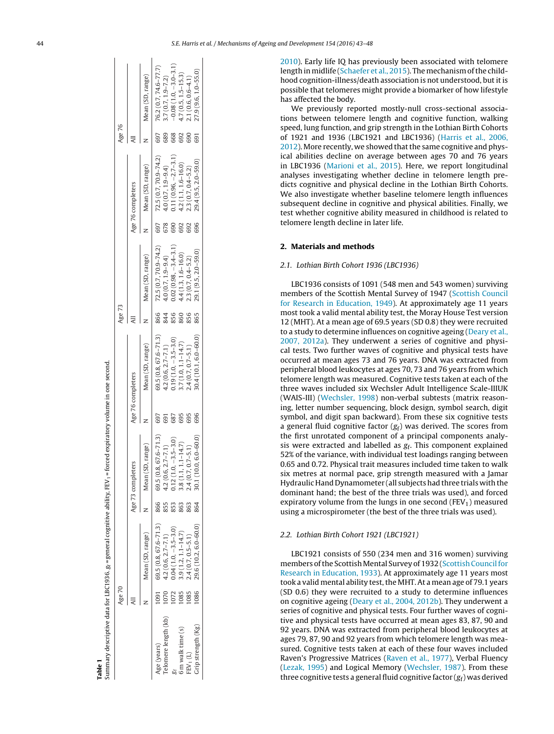<span id="page-2-0"></span>

|                      | Age 70 |                          |     |                             |     |                          | Age 73 |                         |     |                          | Age 76 |                        |
|----------------------|--------|--------------------------|-----|-----------------------------|-----|--------------------------|--------|-------------------------|-----|--------------------------|--------|------------------------|
|                      |        |                          |     | Age 73 completers           |     | Age 76 completers        |        |                         |     | Age 76 completers        |        |                        |
|                      |        | Mean (SD, range)         |     | Mean (SD, range)            |     | Mean (SD, range)         |        | Mean (SD, range)        |     | Mean (SD, range)         |        | Mean (SD, range)       |
| Age (years)          | 1091   | $69.5(0.8, 67.6 - 71.3)$ | 866 | $67.6 - 71.3$<br>69.5 (0.8, | 697 | $69.5(0.8, 67.6 - 71.3)$ | 866    | 72.5 (0.7, 70.9-74.2)   | 697 | $72.5(0.7, 70.9 - 74.2)$ | 697    | 76.2 (0.7, 74.6-77.7)  |
| Telomere length (kb) | 1070   | $4.2(0.6, 2.7 - 7.1)$    | 855 | $4.2(0.6, 2.7 - 7.1)$       | 691 | $4.2(0.6, 2.7 - 7.1)$    | 844    | $4.0(0.7, 1.9 - 9.4)$   | 678 | $4.0(0.7, 1.9 - 9.4)$    | 689    | $1.7(0.7, 1.9 - 7.2)$  |
|                      | 1072   | $0.04(1.0, -3.5 - 3.0)$  | 853 | $0.12(1.0, -3.5 - 3.0)$     | 687 | $0.19(1.0, -3.5 - 3.0)$  | 856    | $0.02(0.98, -3.4 -3.1)$ | 690 | $0.11(0.96, -2.7 - 3.1)$ | 668    | $-0.08(1.0, -3.0-3.1)$ |
| 6 m walk time (s)    | 1085   | $3.9(1.2, 1.1 - 14.7)$   | 863 | $3.8(1.1, 1.1 - 14.7)$      | 695 | $3.7(1.0, 1.1 - 14.7)$   | 860    | $4.4(1.3, 1.6 - 16.0)$  | 692 | $4.2(1.1, 1.6 - 16.0)$   | 692    | $1.7(0.5, 1.5 - 15.3)$ |
| $FEV_1(L)$           | 1085   | $2.4(0.7, 0.5 - 5.1)$    | 863 | $0.7 - 5.1$<br>2.4(0.7, 0)  | 695 | $2.4(0.7, 0.7 - 5.1)$    | 856    | $2.3(0.7, 0.4 - 5.2)$   | 692 | $2.3(0.7, 0.4 - 5.2)$    | 690    | $2.1(0.6, 0.6 - 4.1)$  |
| Grip strength (Kg)   | 1086   | $29.6(10.2, 6.0 - 60.0)$ | 864 | 30.1 (10.0, 6.0-60.0)       | 696 | 10.4 (10.1, 6.0-60.0)    | 865    | 29.1 (9.5, 2.0-59.0)    | 696 | 29.4 (9.5, 2.0-59.0)     | 691    | 27.9 (9.6, 1.0-55.0)   |

[2010\).](#page-6-0) Early life IQ has previously been associated with telomere length in midlife [\(Schaefer](#page-6-0) et [al.,](#page-6-0) [2015\).](#page-6-0) The mechanism of the childhood cognition-illness/death association is not understood, but it is possible that telomeres might provide a biomarker of how lifestyle has affected the body.

We previously reported mostly-null cross-sectional associations between telomere length and cognitive function, walking speed, lung function, and grip strength in the Lothian Birth Cohorts of 1921 and 1936 (LBC1921 and LBC1936) ([Harris](#page-6-0) et [al.,](#page-6-0) [2006,](#page-6-0)  $2012$ ). More recently, we showed that the same cognitive and physical abilities decline on average between ages 70 and 76 years in LBC1936 ([Marioni](#page-6-0) et [al.,](#page-6-0) [2015\).](#page-6-0) Here, we report longitudinal analyses investigating whether decline in telomere length predicts cognitive and physical decline in the Lothian Birth Cohorts. We also investigate whether baseline telomere length influences subsequent decline in cognitive and physical abilities. Finally, we test whether cognitive ability measured in childhood is related to telomere length decline in later life.

### **2. Materials and methods**

### 2.1. Lothian Birth Cohort 1936 (LBC1936)

LBC1936 consists of 1091 (548 men and 543 women) surviving members of the Scottish Mental Survey of 1947 [\(Scottish](#page-6-0) [Council](#page-6-0) [for](#page-6-0) [Research](#page-6-0) [in](#page-6-0) [Education,](#page-6-0) [1949\).](#page-6-0) At approximately age 11 years most took a valid mental ability test, the Moray House Test version 12 (MHT). At a mean age of 69.5 years (SD 0.8) they were recruited to a study to determine influences on cognitive ageing [\(Deary](#page-6-0) et [al.,](#page-6-0) [2007,](#page-6-0) [2012a\).](#page-6-0) They underwent a series of cognitive and physical tests. Two further waves of cognitive and physical tests have occurred at mean ages 73 and 76 years. DNA was extracted from peripheral blood leukocytes at ages 70, 73 and 76 years from which telomere length was measured. Cognitive tests taken at each of the three waves included six Wechsler Adult Intelligence Scale-IIIUK (WAIS-III) ([Wechsler,](#page-6-0) [1998](#page-6-0) ) non-verbal subtests (matrix reasoning, letter number sequencing, block design, symbol search, digit symbol, and digit span backward). From these six cognitive tests a general fluid cognitive factor  $(g_f)$  was derived. The scores from the first unrotated component of a principal components analysis were extracted and labelled as  $g_f$ . This component explained 52% of the variance, with individual test loadings ranging between 0.65 and 0.72. Physical trait measures included time taken to walk six metres at normal pace, grip strength measured with a Jamar Hydraulic Hand Dynamometer (all subjectshad three trials withthe dominant hand; the best of the three trials was used), and forced expiratory volume from the lungs in one second (FEV<sub>1</sub>) measured using a microspirometer (the best of the three trials was used).

### 2.2. Lothian Birth Cohort 1921 (LBC1921)

LBC1921 consists of 550 (234 men and 316 women) surviving members of the Scottish Mental Survey of 1932 (Scottish Council for [Research](#page-6-0) [in](#page-6-0) [Education,](#page-6-0) [1933\).](#page-6-0) At approximately age 11 years most took a valid mental ability test, the MHT. At a mean age of 79.1 years (SD 0.6) they were recruited to a study to determine influences on cognitive ageing [\(Deary](#page-6-0) et [al.,](#page-6-0) [2004,](#page-6-0) [2012b\).](#page-6-0) They underwent a series of cognitive and physical tests. Four further waves of cognitive and physical tests have occurred at mean ages 83, 87, 90 and 92 years. DNA was extracted from peripheral blood leukocytes at ages 79, 87, 90 and 92 years from which telomere length was measured. Cognitive tests taken at each of these four waves included Raven's Progressive Matrices ([Raven](#page-6-0) et [al.,](#page-6-0) [1977\),](#page-6-0) Verbal Fluency [\(Lezak,](#page-6-0) [1995](#page-6-0) ) and Logical Memory [\(Wechsler,](#page-6-0) [1987\).](#page-6-0) From these three cognitive tests a general fluid cognitive factor  $(\boldsymbol{g_{\text{f}}})$  was derived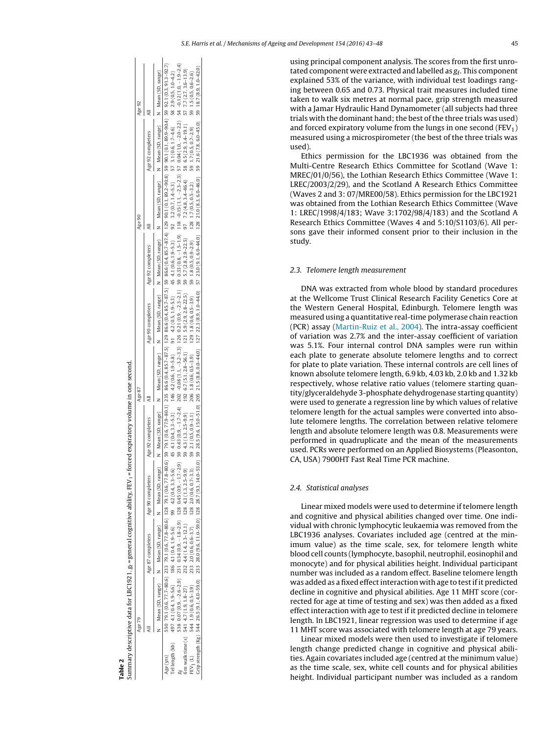using principal component analysis. The scores from the first unrotated component were extracted and labelled as  $g_f$ . This component explained 53% of the variance, with individual test loadings ranging between 0.65 and 0.73. Physical trait measures included time taken to walk six metres at normal pace, grip strength measured with a Jamar Hydraulic Hand Dynamometer (all subjects had three trials with the dominant hand; the best of the three trials was used) and forced expiratory volume from the lungs in one second (FEV<sub>1</sub>) measured using a microspirometer (the best of the three trials was used).

Ethics permission for the LBC1936 was obtained from the Multi-Centre Research Ethics Committee for Scotland (Wave 1: MREC/01/0/56), the Lothian Research Ethics Committee (Wave 1: LREC/2003/2/29), and the Scotland A Research Ethics Committee (Waves 2 and 3: 07/MRE00/58). Ethics permission for the LBC1921 was obtained from the Lothian Research Ethics Committee (Wave 1: LREC/1998/4/183; Wave 3:1702/98/4/183) and the Scotland A Research Ethics Committee (Waves 4 and 5:10/S1103/6). All persons gave their informed consent prior to their inclusion in the study.

### 2.3. Telomere length measurement

DNA was extracted from whole blood by standard procedures at the Wellcome Trust Clinical Research Facility Genetics Core at the Western General Hospital, Edinburgh. Telomere length was measured using a quantitative real-time polymerase chain reaction (PCR) assay [\(Martin-Ruiz](#page-6-0) et [al.,](#page-6-0) [2004\).](#page-6-0) The intra-assay coefficient of variation was 2.7% and the inter-assay coefficient of variation was 5.1%. Four internal control DNA samples were run within each plate to generate absolute telomere lengths and to correct for plate to plate variation. These internal controls are cell lines of known absolute telomere length, 6.9 kb, 4.03 kb, 2.0 kb and 1.32 kb respectively, whose relative ratio values (telomere starting quantity/glyceraldehyde 3-phosphate dehydrogenase starting quantity) were used to generate a regression line by which values of relative telomere length for the actual samples were converted into absolute telomere lengths. The correlation between relative telomere length and absolute telomere length was 0.8. Measurements were performed in quadruplicate and the mean of the measurements used. PCRs were performed on an Applied Biosystems (Pleasonton, CA, USA) 7900HT Fast Real Time PCR machine.

### 2.4. Statistical analyses

Linear mixed models were used to determine if telomere length and cognitive and physical abilities changed over time. One individual with chronic lymphocytic leukaemia was removed from the LBC1936 analyses. Covariates included age (centred at the minimum value) as the time scale, sex, for telomere length white blood cell counts (lymphocyte, basophil, neutrophil, eosinophil and monocyte) and for physical abilities height. Individual participant number was included as a random effect. Baseline telomere length was added as a fixed effectinteraction with age to testif it predicted decline in cognitive and physical abilities. Age 11 MHT score (corrected for age at time of testing and sex) was then added as a fixed effect interaction with age to test if it predicted decline in telomere length. In LBC1921, linear regression was used to determine if age 11 MHT score was associated with telomere length at age 79 years.

Linear mixed models were then used to investigate if telomere length change predicted change in cognitive and physical abilities. Again covariates included age (centred at the minimum value) as the time scale, sex, white cell counts and for physical abilities height. Individual participant number was included as a random

| ĺ,<br>l               |
|-----------------------|
|                       |
|                       |
| $rac{1}{2}$<br>֕<br>I |
|                       |
|                       |
|                       |
|                       |
|                       |

<span id="page-3-0"></span>

|                      |        | series and the contribution of the series of the series of the series of the series of the series of the series of the contribution of the series of the series of the series of the series of the series of the series of the  |                   |                                                                                                                                                                                 |                   |                   |        |                   |        |
|----------------------|--------|---------------------------------------------------------------------------------------------------------------------------------------------------------------------------------------------------------------------------------|-------------------|---------------------------------------------------------------------------------------------------------------------------------------------------------------------------------|-------------------|-------------------|--------|-------------------|--------|
|                      | Age 79 |                                                                                                                                                                                                                                 |                   | Age 87                                                                                                                                                                          |                   |                   | Age 90 |                   | Age 92 |
|                      |        | Age 87 completers Age 90 completers                                                                                                                                                                                             | Age 92 completers |                                                                                                                                                                                 | Age 90 completers | Age 92 completers |        | Age 92 completers |        |
|                      |        | Mean (SD, range) Mean (SD, range) Mean (SD, range)                                                                                                                                                                              |                   | Nean (SD, range) N Mean (SD, range) N Mean (SD, range) N Mean (SD, range) N Mean (SD, range) N Mean (SD, range) N Mean (SD, range)                                              |                   |                   |        |                   |        |
| Age (yrs)            |        | 550 7911 (06,77.8-80.6) 128 7911 (06,77.8-80.6) 128 7911 (05,77.8-80.6) 129 866 (04,857-87.5) 129 866 (04,857-87.5) 39 865 (04,857-87.4) 129 7911 (01,892-90.8) 59 7911 (01,892-90.4) 39 7911 (05,71.8-90.1) 05,8 99.1 (0.5,9.9 |                   |                                                                                                                                                                                 |                   |                   |        |                   |        |
|                      |        | Tellength (kb) $497 \t4.1(0.4, 1.9-5.6)$ 186 $4.1(0.4, 1.9-5.6)$ 99 $4.2(0.4, 3.3-5.6)$                                                                                                                                         |                   | 45 4.1 (0.4, 3.3-5.3) 146 4.2 (0.6, 1.9-5.3) 45 4.1 (0.6, 1.9-5.3) 92 32 (0.7, 1.4-5.3) 57 3.1 (0.6, 1.7-4.6) 58 2.9 (0.5, 1.0-4.2)                                             |                   |                   |        |                   |        |
|                      |        | 538 0.07 (0.9, -2.6-2.9) 231 0.34 (0.9, -1.8-2.9) 128 0.45 (0.9, -1.7-2.9)                                                                                                                                                      |                   | 59 0.43 (0.9, -1.7-2.4) 202 -0.08 (1.1, -3.2-3.3) 126 0.21 (0.8, -1.2.3-2.1) 59 0.33 (0.8, -1.5-1.9) 118 -0.15 (1.1, -2.3-2.3) 57 0.04 (1.0, -2.0-2.2) 54 -0.12 (1.0, -1.9-2.4) |                   |                   |        |                   |        |
|                      |        | $\sin \text{walk time}(s)$ 541 4.7(1.9, 1.8-27) 232 4.4(1.4, 2.3-12.1) 128 4.3(1.3, 2.5-9.9)                                                                                                                                    |                   | 59 4.3 (1.3, 2.5-9.9) 192 6.7 (5.1, 2.8-56.1) 121 5.9 (2.8-22.5) 59 5.7 (2.8, 2.9-22.5) 97 7.2 (4.8, 3.4-464) 58 6.5 (2.8, 3.4-19.1) 57 7.7 (2.7, 3.6-13.9)                     |                   |                   |        |                   |        |
| FEV <sub>1</sub> (L) |        | 544 1.9 (0.6, 0.5-3.9) 233 2.0 (0.6, 0.6-3.7) 128 2.0 (0.6, 0.7-3.3)                                                                                                                                                            |                   | 59 2.1 (0.5, 0.9-3.1) 206 1.8 (0.6, 0.5-3.9) 128 1.8 (0.5, 0.5-2.9) 59 1.8 (0.5, 0.9-2.9) 59 1.7 (0.5, 0.7-2.9) 59 1.5 (0.5, 0.6-2.6)                                           |                   |                   |        |                   |        |
|                      |        | Grostength (Kg) 544 265(91.410-590) 233 280(966 110-590) 128 285(93,1440-530) 502 215(88,00-4440) 127 223 (83,00-440) 57 223 (83,00-440) 128 210(83,60-450) 59 216(78,60-450) 59 216(98,10-450)                                 |                   |                                                                                                                                                                                 |                   |                   |        |                   |        |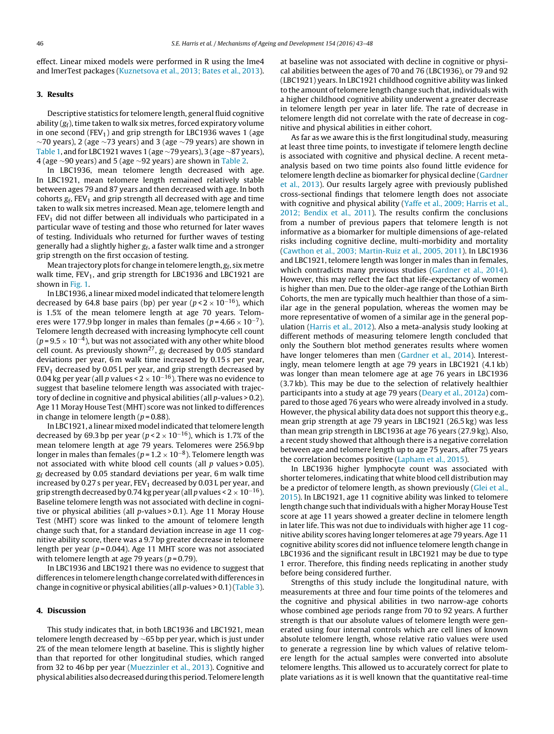effect. Linear mixed models were performed in R using the lme4 and lmerTest packages [\(Kuznetsova](#page-6-0) et [al.,](#page-6-0) [2013;](#page-6-0) [Bates](#page-6-0) et [al.,](#page-6-0) [2013\).](#page-6-0)

### **3. Results**

Descriptive statistics for telomere length, general fluid cognitive ability  $(g_f)$ , time taken to walk six metres, forced expiratory volume in one second (FEV<sub>1</sub>) and grip strength for LBC1936 waves 1 (age  $\sim$ 70 years), 2 (age  $\sim$ 73 years) and 3 (age  $\sim$ 79 years) are shown in [Table](#page-2-0) 1, and for LBC1921 waves 1 (age ∼79 years), 3 (age ∼87 years), 4 (age ∼90 years) and 5 (age ∼92 years) are shown in [Table](#page-3-0) 2.

In LBC1936, mean telomere length decreased with age. In LBC1921, mean telomere length remained relatively stable between ages 79 and 87 years and then decreased with age. In both cohorts  $g_f$ , FEV<sub>1</sub> and grip strength all decreased with age and time taken to walk six metres increased. Mean age, telomere length and  $FEV<sub>1</sub>$  did not differ between all individuals who participated in a particular wave of testing and those who returned for later waves of testing. Individuals who returned for further waves of testing generally had a slightly higher  $g_f$ , a faster walk time and a stronger grip strength on the first occasion of testing.

Mean trajectory plots for change in telomere length,  $g_f$ , six metre walk time,  $FEV_1$ , and grip strength for LBC1936 and LBC1921 are shown in [Fig.](#page-5-0) 1.

In LBC1936, a linear mixed model indicated that telomere length decreased by 64.8 base pairs (bp) per year ( $p < 2 \times 10^{-16}$ ), which is 1.5% of the mean telomere length at age 70 years. Telomeres were 177.9 bp longer in males than females ( $p = 4.66 \times 10^{-7}$ ). Telomere length decreased with increasing lymphocyte cell count  $(p=9.5\times10^{-4})$ , but was not associated with any other white blood cell count. As previously shown<sup>27</sup>,  $g_f$  decreased by 0.05 standard deviations per year, 6 m walk time increased by 0.15 s per year,  $FEV<sub>1</sub>$  decreased by 0.05 L per year, and grip strength decreased by 0.04 kg per year (all p values <  $2 \times 10^{-16}$ ). There was no evidence to suggest that baseline telomere length was associated with trajectory of decline in cognitive and physical abilities (all p-values > 0.2). Age 11 Moray House Test (MHT) score was not linked to differences in change in telomere length ( $p = 0.88$ ).

In LBC1921, a linear mixed model indicated that telomere length decreased by 69.3 bp per year ( $p < 2 \times 10^{-16}$ ), which is 1.7% of the mean telomere length at age 79 years. Telomeres were 256.9 bp longer in males than females ( $p = 1.2 \times 10^{-8}$ ). Telomere length was not associated with white blood cell counts (all  $p$  values > 0.05).  $g_f$  decreased by 0.05 standard deviations per year, 6 m walk time increased by 0.27 s per year,  $FEV<sub>1</sub>$  decreased by 0.03 L per year, and grip strength decreased by 0.74 kg per year (all p values <  $2 \times 10^{-16}$ ). Baseline telomere length was not associated with decline in cognitive or physical abilities (all p-values > 0.1). Age 11 Moray House Test (MHT) score was linked to the amount of telomere length change such that, for a standard deviation increase in age 11 cognitive ability score, there was a 9.7 bp greater decrease in telomere length per year ( $p = 0.044$ ). Age 11 MHT score was not associated with telomere length at age 79 years ( $p = 0.79$ ).

In LBC1936 and LBC1921 there was no evidence to suggest that differences in telomere length change correlated with differences in change in cognitive or physical abilities (all  $p$ -values > 0.1) ([Table](#page-5-0) 3).

### **4. Discussion**

This study indicates that, in both LBC1936 and LBC1921, mean telomere length decreased by ∼65 bp per year, which is just under 2% of the mean telomere length at baseline. This is slightly higher than that reported for other longitudinal studies, which ranged from 32 to 46 bp per year ([Muezzinler](#page-6-0) et [al.,](#page-6-0) [2013\).](#page-6-0) Cognitive and physical abilities alsodecreasedduring thisperiod. Telomere length at baseline was not associated with decline in cognitive or physical abilities between the ages of 70 and 76 (LBC1936), or 79 and 92 (LBC1921) years. In LBC1921 childhood cognitive ability was linked to the amount of telomere length change such that, individuals with a higher childhood cognitive ability underwent a greater decrease in telomere length per year in later life. The rate of decrease in telomere length did not correlate with the rate of decrease in cognitive and physical abilities in either cohort.

As far as we aware this is the first longitudinal study, measuring at least three time points, to investigate if telomere length decline is associated with cognitive and physical decline. A recent metaanalysis based on two time points also found little evidence for telomere length decline as biomarker for physical decline ([Gardner](#page-6-0) et [al.,](#page-6-0) [2013\).](#page-6-0) Our results largely agree with previously published cross-sectional findings that telomere length does not associate with cognitive and physical ability [\(Yaffe](#page-6-0) et [al.,](#page-6-0) [2009;](#page-6-0) [Harris](#page-6-0) et al., [2012;](#page-6-0) [Bendix](#page-6-0) et [al.,](#page-6-0) [2011\).](#page-6-0) The results confirm the conclusions from a number of previous papers that telomere length is not informative as a biomarker for multiple dimensions of age-related risks including cognitive decline, multi-morbidity and mortality [\(Cawthon](#page-6-0) et [al.,](#page-6-0) [2003;](#page-6-0) [Martin-Ruiz](#page-6-0) et [al.,](#page-6-0) [2005,](#page-6-0) [2011\).](#page-6-0) In LBC1936 and LBC1921, telomere length was longer in males than in females, which contradicts many previous studies [\(Gardner](#page-6-0) et [al.,](#page-6-0) [2014\).](#page-6-0) However, this may reflect the fact that life-expectancy of women is higher than men. Due to the older-age range of the Lothian Birth Cohorts, the men are typically much healthier than those of a similar age in the general population, whereas the women may be more representative of women of a similar age in the general population ([Harris](#page-6-0) et [al.,](#page-6-0) [2012\).](#page-6-0) Also a meta-analysis study looking at different methods of measuring telomere length concluded that only the Southern blot method generates results where women have longer telomeres than men ([Gardner](#page-6-0) et [al.,](#page-6-0) [2014\).](#page-6-0) Interestingly, mean telomere length at age 79 years in LBC1921 (4.1 kb) was longer than mean telomere age at age 76 years in LBC1936 (3.7 kb). This may be due to the selection of relatively healthier participants into a study at age 79 years ([Deary](#page-6-0) et [al.,](#page-6-0) [2012a\)](#page-6-0) compared to those aged 76 years who were already involved in a study. However, the physical ability data does not support this theory e.g., mean grip strength at age 79 years in LBC1921 (26.5 kg) was less than mean grip strength in LBC1936 at age 76 years (27.9 kg). Also, a recent study showed that although there is a negative correlation between age and telomere length up to age 75 years, after 75 years the correlation becomes positive ([Lapham](#page-6-0) et [al.,](#page-6-0) [2015\).](#page-6-0)

In LBC1936 higher lymphocyte count was associated with shorter telomeres, indicating that white blood cell distribution may be a predictor of telomere length, as shown previously [\(Glei](#page-6-0) et [al.,](#page-6-0) [2015\).](#page-6-0) In LBC1921, age 11 cognitive ability was linked to telomere length change such that individuals with a higher Moray House Test score at age 11 years showed a greater decline in telomere length in later life. This was not due to individuals with higher age 11 cognitive ability scores having longer telomeres at age 79 years. Age 11 cognitive ability scores did not influence telomere length change in LBC1936 and the significant result in LBC1921 may be due to type 1 error. Therefore, this finding needs replicating in another study before being considered further.

Strengths of this study include the longitudinal nature, with measurements at three and four time points of the telomeres and the cognitive and physical abilities in two narrow-age cohorts whose combined age periods range from 70 to 92 years. A further strength is that our absolute values of telomere length were generated using four internal controls which are cell lines of known absolute telomere length, whose relative ratio values were used to generate a regression line by which values of relative telomere length for the actual samples were converted into absolute telomere lengths. This allowed us to accurately correct for plate to plate variations as it is well known that the quantitative real-time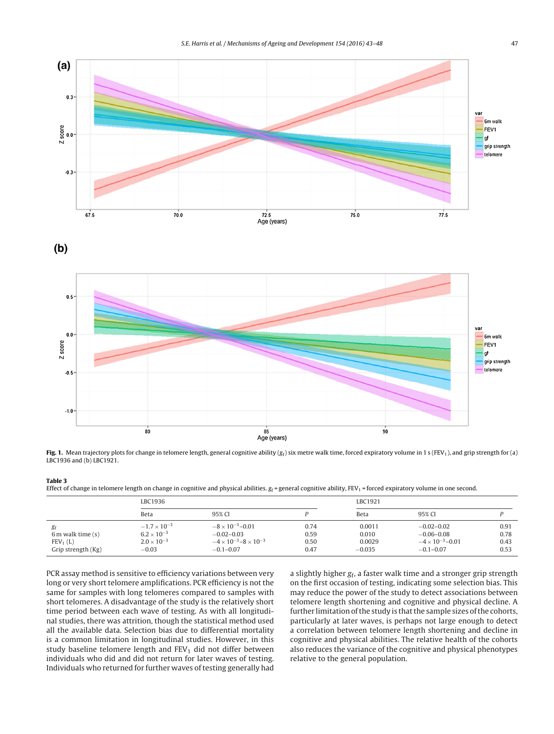<span id="page-5-0"></span>

**Fig. 1.** Mean trajectory plots for change in telomere length, general cognitive ability  $(g_f)$  six metre walk time, forced expiratory volume in 1 s (FEV<sub>1</sub>), and grip strength for (a) LBC1936 and (b) LBC1921.

### **Table 3**

Effect of change in telomere length on change in cognitive and physical abilities.  $g_f$  = general cognitive ability,  $FEV_1$  = forced expiratory volume in one second.

|                      | LBC1936               |                                        |      | LBC1921  |                            |      |
|----------------------|-----------------------|----------------------------------------|------|----------|----------------------------|------|
|                      | Beta                  | 95% CI                                 |      | Beta     | 95% CI                     |      |
| gf                   | $-1.7 \times 10^{-3}$ | $-8 \times 10^{-3} - 0.01$             | 0.74 | 0.0011   | $-0.02 - 0.02$             | 0.91 |
| $6m$ walk time $(s)$ | $6.2 \times 10^{-3}$  | $-0.02 - 0.03$                         | 0.59 | 0.010    | $-0.06 - 0.08$             | 0.78 |
| FEV <sub>1</sub> (L) | $2.0 \times 10^{-3}$  | $-4 \times 10^{-3} - 8 \times 10^{-3}$ | 0.50 | 0.0029   | $-4 \times 10^{-3} - 0.01$ | 0.43 |
| Grip strength (Kg)   | $-0.03$               | $-0.1 - 0.07$                          | 0.47 | $-0.035$ | $-0.1 - 0.07$              | 0.53 |

PCR assay method is sensitive to efficiency variations between very long or very short telomere amplifications. PCR efficiency is not the same for samples with long telomeres compared to samples with short telomeres. A disadvantage of the study is the relatively short time period between each wave of testing. As with all longitudinal studies, there was attrition, though the statistical method used all the available data. Selection bias due to differential mortality is a common limitation in longitudinal studies. However, in this study baseline telomere length and  $FEV<sub>1</sub>$  did not differ between individuals who did and did not return for later waves of testing. Individuals who returned for further waves of testing generally had

a slightly higher  $g_f$ , a faster walk time and a stronger grip strength on the first occasion of testing, indicating some selection bias. This may reduce the power of the study to detect associations between telomere length shortening and cognitive and physical decline. A further limitation of the study is that the sample sizes of the cohorts, particularly at later waves, is perhaps not large enough to detect a correlation between telomere length shortening and decline in cognitive and physical abilities. The relative health of the cohorts also reduces the variance of the cognitive and physical phenotypes relative to the general population.